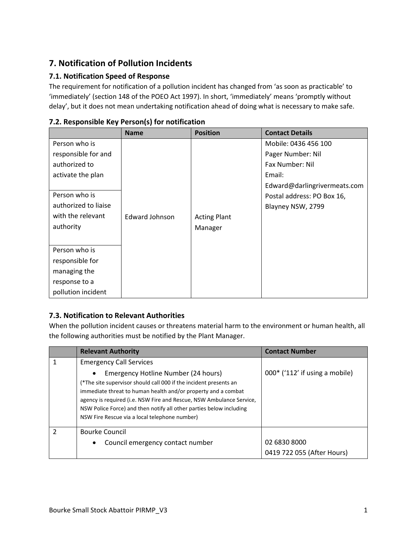# **7. Notification of Pollution Incidents**

### **7.1. Notification Speed of Response**

The requirement for notification of a pollution incident has changed from 'as soon as practicable' to 'immediately' (section 148 of the POEO Act 1997). In short, 'immediately' means 'promptly without delay', but it does not mean undertaking notification ahead of doing what is necessary to make safe.

|                      | <b>Name</b>    | <b>Position</b>     | <b>Contact Details</b>       |
|----------------------|----------------|---------------------|------------------------------|
| Person who is        |                |                     | Mobile: 0436 456 100         |
| responsible for and  |                |                     | Pager Number: Nil            |
| authorized to        |                |                     | Fax Number: Nil              |
| activate the plan    |                |                     | Email:                       |
|                      |                |                     | Edward@darlingrivermeats.com |
| Person who is        |                |                     | Postal address: PO Box 16,   |
| authorized to liaise |                |                     | Blayney NSW, 2799            |
| with the relevant    | Edward Johnson | <b>Acting Plant</b> |                              |
| authority            |                | Manager             |                              |
|                      |                |                     |                              |
| Person who is        |                |                     |                              |
| responsible for      |                |                     |                              |
| managing the         |                |                     |                              |
| response to a        |                |                     |                              |
| pollution incident   |                |                     |                              |

#### **7.2. Responsible Key Person(s) for notification**

#### **7.3. Notification to Relevant Authorities**

When the pollution incident causes or threatens material harm to the environment or human health, all the following authorities must be notified by the Plant Manager.

| <b>Relevant Authority</b>                                                                                                                                                                                                                                                                                                                                                              | <b>Contact Number</b>            |
|----------------------------------------------------------------------------------------------------------------------------------------------------------------------------------------------------------------------------------------------------------------------------------------------------------------------------------------------------------------------------------------|----------------------------------|
| <b>Emergency Call Services</b>                                                                                                                                                                                                                                                                                                                                                         |                                  |
| Emergency Hotline Number (24 hours)<br>$\bullet$<br>(*The site supervisor should call 000 if the incident presents an<br>immediate threat to human health and/or property and a combat<br>agency is required (i.e. NSW Fire and Rescue, NSW Ambulance Service,<br>NSW Police Force) and then notify all other parties below including<br>NSW Fire Rescue via a local telephone number) | $000*$ ('112' if using a mobile) |
| <b>Bourke Council</b>                                                                                                                                                                                                                                                                                                                                                                  |                                  |
| Council emergency contact number<br>$\bullet$                                                                                                                                                                                                                                                                                                                                          | 02 6830 8000                     |
|                                                                                                                                                                                                                                                                                                                                                                                        | 0419 722 055 (After Hours)       |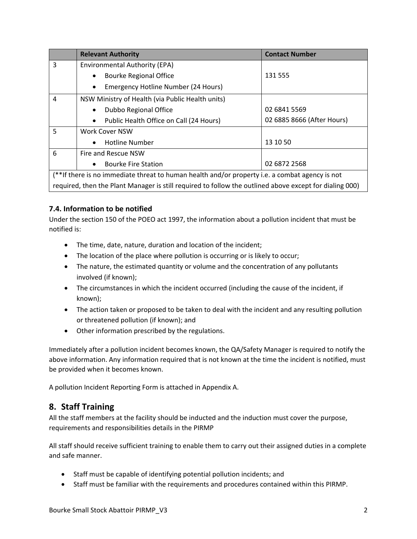|                                                                                                         | <b>Relevant Authority</b>                            | <b>Contact Number</b>      |
|---------------------------------------------------------------------------------------------------------|------------------------------------------------------|----------------------------|
| 3                                                                                                       | Environmental Authority (EPA)                        |                            |
|                                                                                                         | <b>Bourke Regional Office</b><br>$\bullet$           | 131 555                    |
|                                                                                                         | Emergency Hotline Number (24 Hours)<br>$\bullet$     |                            |
| 4                                                                                                       | NSW Ministry of Health (via Public Health units)     |                            |
|                                                                                                         | Dubbo Regional Office<br>$\bullet$                   | 02 6841 5569               |
|                                                                                                         | Public Health Office on Call (24 Hours)<br>$\bullet$ | 02 6885 8666 (After Hours) |
| 5                                                                                                       | <b>Work Cover NSW</b>                                |                            |
|                                                                                                         | <b>Hotline Number</b><br>$\bullet$                   | 13 10 50                   |
| 6                                                                                                       | Fire and Rescue NSW                                  |                            |
|                                                                                                         | <b>Bourke Fire Station</b><br>$\bullet$              | 02 6872 2568               |
| (**If there is no immediate threat to human health and/or property i.e. a combat agency is not          |                                                      |                            |
| required, then the Plant Manager is still required to follow the outlined above except for dialing 000) |                                                      |                            |

#### **7.4. Information to be notified**

Under the section 150 of the POEO act 1997, the information about a pollution incident that must be notified is:

- The time, date, nature, duration and location of the incident;
- The location of the place where pollution is occurring or is likely to occur;
- The nature, the estimated quantity or volume and the concentration of any pollutants involved (if known);
- The circumstances in which the incident occurred (including the cause of the incident, if known);
- The action taken or proposed to be taken to deal with the incident and any resulting pollution or threatened pollution (if known); and
- Other information prescribed by the regulations.

Immediately after a pollution incident becomes known, the QA/Safety Manager is required to notify the above information. Any information required that is not known at the time the incident is notified, must be provided when it becomes known.

A pollution Incident Reporting Form is attached in Appendix A.

### **8. Staff Training**

All the staff members at the facility should be inducted and the induction must cover the purpose, requirements and responsibilities details in the PIRMP

All staff should receive sufficient training to enable them to carry out their assigned duties in a complete and safe manner.

- Staff must be capable of identifying potential pollution incidents; and
- Staff must be familiar with the requirements and procedures contained within this PIRMP.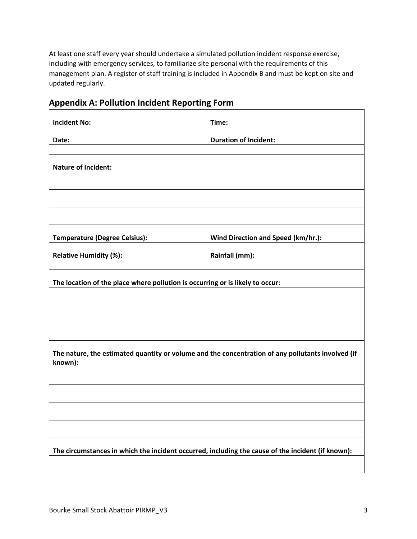At least one staff every year should undertake a simulated pollution incident response exercise, including with emergency services, to familiarize site personal with the requirements of this management plan. A register of staff training is included in Appendix B and must be kept on site and updated regularly.

## **Appendix A: Pollution Incident Reporting Form**

| <b>Incident No:</b>                                                                                          | Time:                              |  |  |  |
|--------------------------------------------------------------------------------------------------------------|------------------------------------|--|--|--|
| Date:                                                                                                        | <b>Duration of Incident:</b>       |  |  |  |
|                                                                                                              |                                    |  |  |  |
| <b>Nature of Incident:</b>                                                                                   |                                    |  |  |  |
|                                                                                                              |                                    |  |  |  |
|                                                                                                              |                                    |  |  |  |
|                                                                                                              |                                    |  |  |  |
| <b>Temperature (Degree Celsius):</b>                                                                         | Wind Direction and Speed (km/hr.): |  |  |  |
| <b>Relative Humidity (%):</b>                                                                                | Rainfall (mm):                     |  |  |  |
|                                                                                                              |                                    |  |  |  |
| The location of the place where pollution is occurring or is likely to occur:                                |                                    |  |  |  |
|                                                                                                              |                                    |  |  |  |
|                                                                                                              |                                    |  |  |  |
|                                                                                                              |                                    |  |  |  |
| The nature, the estimated quantity or volume and the concentration of any pollutants involved (if<br>known): |                                    |  |  |  |
|                                                                                                              |                                    |  |  |  |
|                                                                                                              |                                    |  |  |  |
|                                                                                                              |                                    |  |  |  |
|                                                                                                              |                                    |  |  |  |
| The circumstances in which the incident occurred, including the cause of the incident (if known):            |                                    |  |  |  |
|                                                                                                              |                                    |  |  |  |